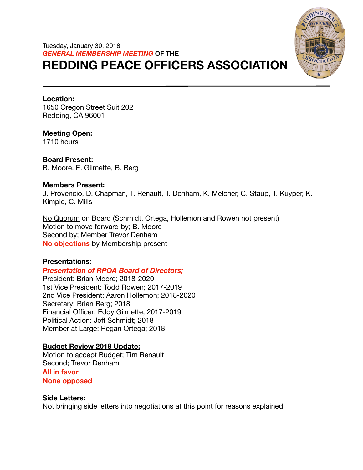# Tuesday, January 30, 2018 *GENERAL MEMBERSHIP MEETING* **OF THE REDDING PEACE OFFICERS ASSOCIATION**



#### **Location:**

1650 Oregon Street Suit 202 Redding, CA 96001

**Meeting Open:** 

1710 hours

**Board Present:**  B. Moore, E. Gilmette, B. Berg

#### **Members Present:**

J. Provencio, D. Chapman, T. Renault, T. Denham, K. Melcher, C. Staup, T. Kuyper, K. Kimple, C. Mills

No Quorum on Board (Schmidt, Ortega, Hollemon and Rowen not present) Motion to move forward by; B. Moore Second by; Member Trevor Denham **No objections** by Membership present

# **Presentations:**

# *Presentation of RPOA Board of Directors;*

President: Brian Moore; 2018-2020 1st Vice President: Todd Rowen; 2017-2019 2nd Vice President: Aaron Hollemon; 2018-2020 Secretary: Brian Berg; 2018 Financial Officer: Eddy Gilmette; 2017-2019 Political Action: Jeff Schmidt; 2018 Member at Large: Regan Ortega; 2018

# **Budget Review 2018 Update:**

Motion to accept Budget; Tim Renault Second; Trevor Denham

**All in favor** 

**None opposed** 

# **Side Letters:**

Not bringing side letters into negotiations at this point for reasons explained